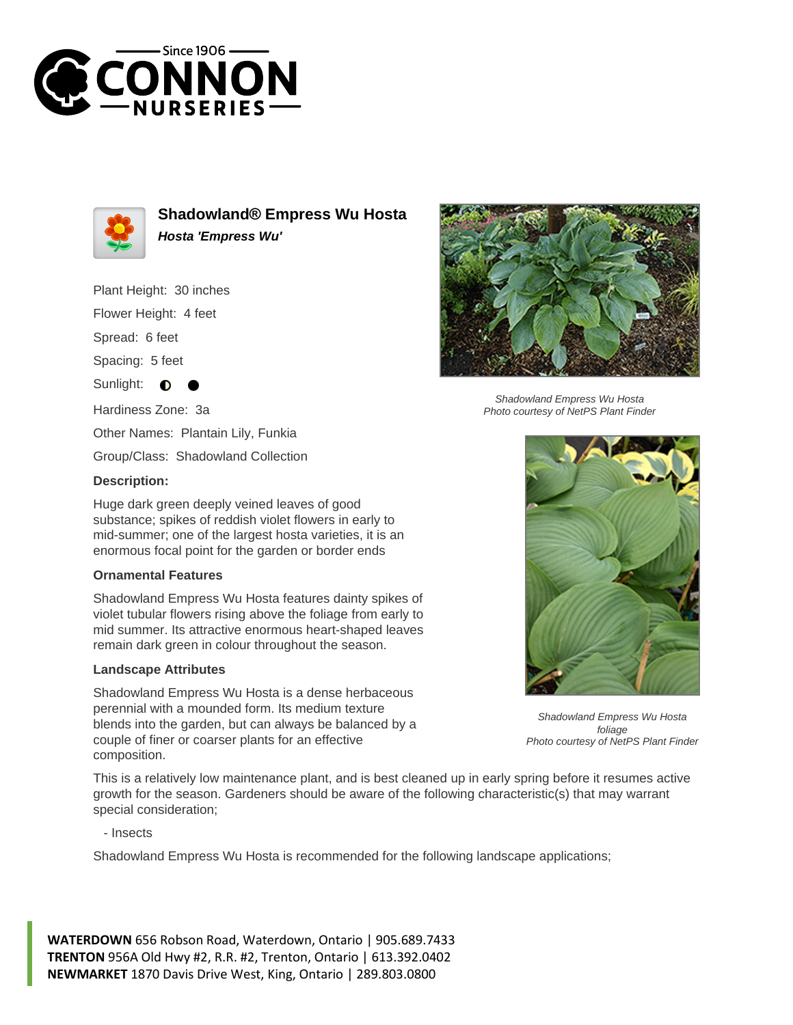



**Shadowland® Empress Wu Hosta Hosta 'Empress Wu'**

Plant Height: 30 inches

Flower Height: 4 feet

Spread: 6 feet

Spacing: 5 feet

Sunlight:  $\bullet$ 

Hardiness Zone: 3a

Other Names: Plantain Lily, Funkia

Group/Class: Shadowland Collection

## **Description:**

Huge dark green deeply veined leaves of good substance; spikes of reddish violet flowers in early to mid-summer; one of the largest hosta varieties, it is an enormous focal point for the garden or border ends

## **Ornamental Features**

Shadowland Empress Wu Hosta features dainty spikes of violet tubular flowers rising above the foliage from early to mid summer. Its attractive enormous heart-shaped leaves remain dark green in colour throughout the season.

## **Landscape Attributes**

Shadowland Empress Wu Hosta is a dense herbaceous perennial with a mounded form. Its medium texture blends into the garden, but can always be balanced by a couple of finer or coarser plants for an effective composition.



Shadowland Empress Wu Hosta Photo courtesy of NetPS Plant Finder



Shadowland Empress Wu Hosta foliage Photo courtesy of NetPS Plant Finder

This is a relatively low maintenance plant, and is best cleaned up in early spring before it resumes active growth for the season. Gardeners should be aware of the following characteristic(s) that may warrant special consideration;

- Insects

Shadowland Empress Wu Hosta is recommended for the following landscape applications;

**WATERDOWN** 656 Robson Road, Waterdown, Ontario | 905.689.7433 **TRENTON** 956A Old Hwy #2, R.R. #2, Trenton, Ontario | 613.392.0402 **NEWMARKET** 1870 Davis Drive West, King, Ontario | 289.803.0800